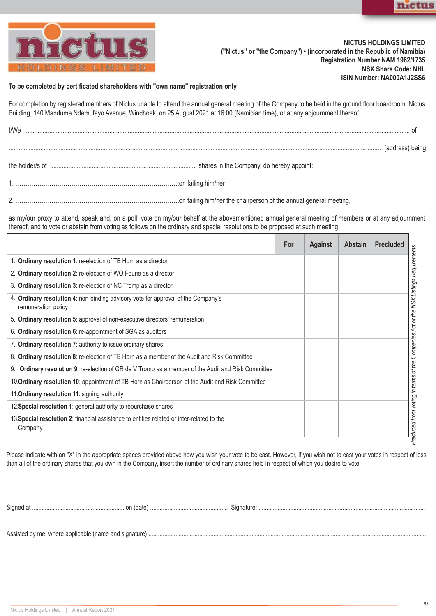



## **NICTUS HOLDINGS LIMITED ("Nictus" or "the Company") • (incorporated in the Republic of Namibia) Registration Number NAM 1962/1735 NSX Share Code: NHL ISIN Number: NA000A1J2SS6**

## **To be completed by certificated shareholders with "own name" registration only**

For completion by registered members of Nictus unable to attend the annual general meeting of the Company to be held in the ground floor boardroom, Nictus Building, 140 Mandume Ndemufayo Avenue, Windhoek, on 25 August 2021 at 16:00 (Namibian time), or at any adjournment thereof.

| I/We |                 |
|------|-----------------|
|      | (address) being |
|      |                 |
|      |                 |

2. ……………………………………………………………………….or, failing him/her the chairperson of the annual general meeting,

as my/our proxy to attend, speak and, on a poll, vote on my/our behalf at the abovementioned annual general meeting of members or at any adjournment thereof, and to vote or abstain from voting as follows on the ordinary and special resolutions to be proposed at such meeting:

|                                                                                                              | For | <b>Against</b> | <b>Abstain</b> | <b>Precluded</b> |
|--------------------------------------------------------------------------------------------------------------|-----|----------------|----------------|------------------|
| 1. Ordinary resolution 1: re-election of TB Horn as a director                                               |     |                |                |                  |
| 2. Ordinary resolution 2: re-election of WO Fourie as a director                                             |     |                |                |                  |
| 3. Ordinary resolution 3: re-election of NC Tromp as a director                                              |     |                |                |                  |
| 4. Ordinary resolution 4: non-binding advisory vote for approval of the Company's<br>remuneration policy     |     |                |                |                  |
| 5. Ordinary resolution 5: approval of non-executive directors' remuneration                                  |     |                |                |                  |
| 6. Ordinary resolution 6: re-appointment of SGA as auditors                                                  |     |                |                |                  |
| 7. Ordinary resolution 7: authority to issue ordinary shares                                                 |     |                |                |                  |
| 8. Ordinary resolution 8: re-election of TB Horn as a member of the Audit and Risk Committee                 |     |                |                |                  |
| <b>Ordinary resolution 9: re-election of GR de V Tromp as a member of the Audit and Risk Committee</b><br>9. |     |                |                |                  |
| 10. Ordinary resolution 10: appointment of TB Horn as Chairperson of the Audit and Risk Committee            |     |                |                |                  |
| 11. Ordinary resolution 11: signing authority                                                                |     |                |                |                  |
| 12. Special resolution 1: general authority to repurchase shares                                             |     |                |                |                  |
| 13. Special resolution 2: financial assistance to entities related or inter-related to the<br>Company        |     |                |                |                  |

Please indicate with an "X" in the appropriate spaces provided above how you wish your vote to be cast. However, if you wish not to cast your votes in respect of less than all of the ordinary shares that you own in the Company, insert the number of ordinary shares held in respect of which you desire to vote.

Signed at .......................................................... on (date) ................................................. Signature: .........................................................................................................

Assisted by me, where applicable (name and signature) ...............................................................................................................................................................................